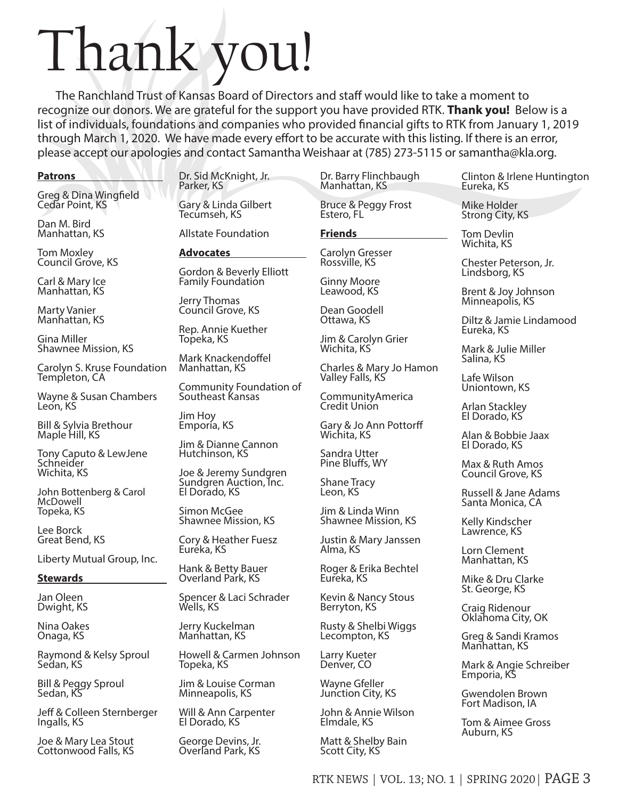# Thank you!

The Ranchland Trust of Kansas Board of Directors and staff would like to take a moment to recognize our donors. We are grateful for the support you have provided RTK. **Thank you!** Below is a list of individuals, foundations and companies who provided financial gifts to RTK from January 1, 2019 through March 1, 2020. We have made every effort to be accurate with this listing. If there is an error, please accept our apologies and contact Samantha Weishaar at (785) 273-5115 or samantha@kla.org.

### **Patrons**

Greg & Dina Wingfield Cedar Point, KS

Dan M. Bird Manhattan, KS

Tom Moxley Council Grove, KS

Carl & Mary Ice Manhattan, KS

Marty Vanier Manhattan, KS

Gina Miller Shawnee Mission, KS

Carolyn S. Kruse Foundation Templeton, CA

Wayne & Susan Chambers Leon, KS

Bill & Sylvia Brethour Maple Hill, KS

Tony Caputo & LewJene **Schneider** Wichita, KS

John Bottenberg & Carol McDowell Topeka, KS

Lee Borck Great Bend, KS

Liberty Mutual Group, Inc.

### **Stewards**

Jan Oleen Dwight, KS

Nina Oakes Onaga, KS

Raymond & Kelsy Sproul Sedan, KS

Bill & Peggy Sproul Sedan, KS

Jeff & Colleen Sternberger Ingalls, KS

Joe & Mary Lea Stout Cottonwood Falls, KS

Dr. Sid McKnight, Jr. Parker, KS

Gary & Linda Gilbert Tecúmseh, KS

Allstate Foundation

# **Advocates**

Gordon & Beverly Elliott Family Foundation

Jerry Thomas Council Grove, KS

Rep. Annie Kuether Topeka, KS

Mark Knackendoffel Manhattan, KS

Community Foundation of Southeast Kansas

Jim Hoy Emporia, KS

Jim & Dianne Cannon Hutchinson, KS

Joe & Jeremy Sundgren Sundgren Auction, Inc. El Dorado, KS

Simon McGee Shawnee Mission, KS

Cory & Heather Fuesz Euréka, KS

Hank & Betty Bauer Overland Park, KS

Spencer & Laci Schrader Wells, KS

Jerry Kuckelman Manhattan, KS

Howell & Carmen Johnson Topeka, KS

Jim & Louise Corman Minneapolis, KS

Will & Ann Carpenter El Dorado, KS

George Devins, Jr. Overland Park, KS

Dr. Barry Flinchbaugh Manhattan, KS

Bruce & Peggy Frost Estero, FL

**Friends** 

Carolyn Gresser Rossville, KS

Ginny Moore Leawood, KS

Dean Goodell Ottawa, KS

Jim & Carolyn Grier Wichita, KS

Charles & Mary Jo Hamon Valley Falls, KS

CommunityAmerica Credit Union

Gary & Jo Ann Pottorff Wichita, KS

Sandra Utter Pine Bluffs, WY

Shane Tracy Leon, KS

Jim & Linda Winn Shawnee Mission, KS

Justin & Mary Janssen Alma, KS

Roger & Erika Bechtel Eureka, KS

Kevin & Nancy Stous Berryton, KS

Rusty & Shelbi Wiggs Lecompton, KS

Larry Kueter Denver, CO

Wayne Gfeller Junction City, KS

John & Annie Wilson Elmdale, KS

Matt & Shelby Bain Scott City, KS

Clinton & Irlene Huntington Eureka, KS

Mike Holder Strong City, KS

Tom Devlin Wichita, KS

Chester Peterson, Jr. Lindsborg, KS

Brent & Joy Johnson Minneapolis, KS

Diltz & Jamie Lindamood Eureka, KS

Mark & Julie Miller Salina, KS

Lafe Wilson Uniontown, KS

Arlan Stackley El Dorado, KS

Alan & Bobbie Jaax El Dorado, KS

Max & Ruth Amos Council Grove, KS

Russell & Jane Adams Santa Monica, CA

Kelly Kindscher Lawrence, KS

Lorn Clement Manhattan, KS

Mike & Dru Clarke St. George, KS

Craig Ridenour Oklahoma City, OK

Greg & Sandi Kramos Manhattan, KS

Mark & Angie Schreiber Emporia, KS

Gwendolen Brown Fort Madison, IA

Tom & Aimee Gross Auburn, KS

RTK NEWS | VOL. 13; NO. 1 | SPRING 2020| PAGE 3